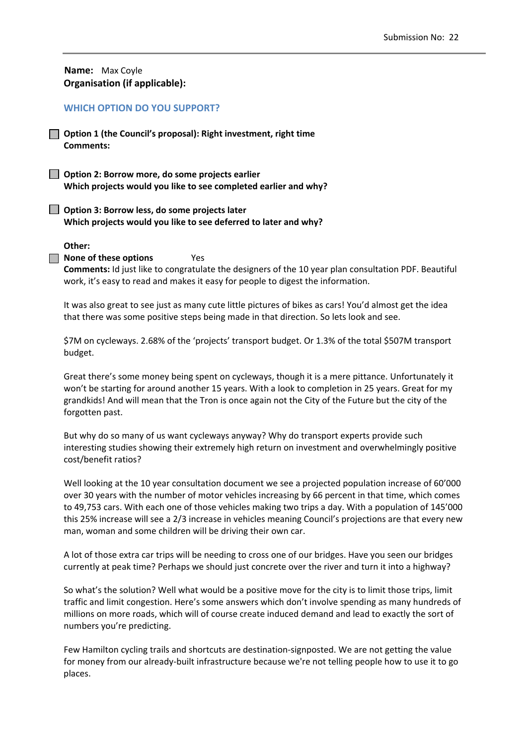**Name:** Max Coyle **Organisation (if applicable):**

### **WHICH OPTION DO YOU SUPPORT?**

**Option 1 (the Council's proposal): Right investment, right time Comments:** 

**Option 2: Borrow more, do some projects earlier Which projects would you like to see completed earlier and why?**

**Option 3: Borrow less, do some projects later Which projects would you like to see deferred to later and why?**

#### **Other:**

**None of these options**  Yes

**Comments:** Id just like to congratulate the designers of the 10 year plan consultation PDF. Beautiful work, it's easy to read and makes it easy for people to digest the information.

It was also great to see just as many cute little pictures of bikes as cars! You'd almost get the idea that there was some positive steps being made in that direction. So lets look and see.

\$7M on cycleways. 2.68% of the 'projects' transport budget. Or 1.3% of the total \$507M transport budget.

Great there's some money being spent on cycleways, though it is a mere pittance. Unfortunately it won't be starting for around another 15 years. With a look to completion in 25 years. Great for my grandkids! And will mean that the Tron is once again not the City of the Future but the city of the forgotten past.

But why do so many of us want cycleways anyway? Why do transport experts provide such interesting studies showing their extremely high return on investment and overwhelmingly positive cost/benefit ratios?

Well looking at the 10 year consultation document we see a projected population increase of 60'000 over 30 years with the number of motor vehicles increasing by 66 percent in that time, which comes to 49,753 cars. With each one of those vehicles making two trips a day. With a population of 145'000 this 25% increase will see a 2/3 increase in vehicles meaning Council's projections are that every new man, woman and some children will be driving their own car.

A lot of those extra car trips will be needing to cross one of our bridges. Have you seen our bridges currently at peak time? Perhaps we should just concrete over the river and turn it into a highway?

So what's the solution? Well what would be a positive move for the city is to limit those trips, limit traffic and limit congestion. Here's some answers which don't involve spending as many hundreds of millions on more roads, which will of course create induced demand and lead to exactly the sort of numbers you're predicting.

Few Hamilton cycling trails and shortcuts are destination‐signposted. We are not getting the value for money from our already‐built infrastructure because we're not telling people how to use it to go places.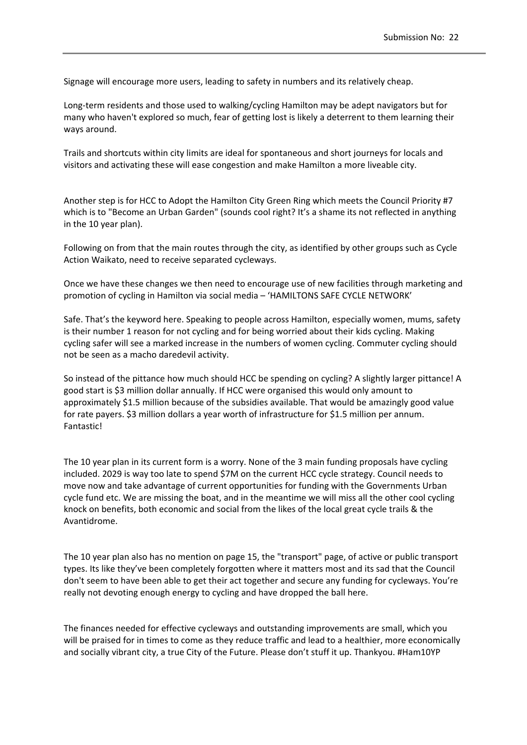Signage will encourage more users, leading to safety in numbers and its relatively cheap.

Long-term residents and those used to walking/cycling Hamilton may be adept navigators but for many who haven't explored so much, fear of getting lost is likely a deterrent to them learning their ways around.

Trails and shortcuts within city limits are ideal for spontaneous and short journeys for locals and visitors and activating these will ease congestion and make Hamilton a more liveable city.

Another step is for HCC to Adopt the Hamilton City Green Ring which meets the Council Priority #7 which is to "Become an Urban Garden" (sounds cool right? It's a shame its not reflected in anything in the 10 year plan).

Following on from that the main routes through the city, as identified by other groups such as Cycle Action Waikato, need to receive separated cycleways.

Once we have these changes we then need to encourage use of new facilities through marketing and promotion of cycling in Hamilton via social media – 'HAMILTONS SAFE CYCLE NETWORK'

Safe. That's the keyword here. Speaking to people across Hamilton, especially women, mums, safety is their number 1 reason for not cycling and for being worried about their kids cycling. Making cycling safer will see a marked increase in the numbers of women cycling. Commuter cycling should not be seen as a macho daredevil activity.

So instead of the pittance how much should HCC be spending on cycling? A slightly larger pittance! A good start is \$3 million dollar annually. If HCC were organised this would only amount to approximately \$1.5 million because of the subsidies available. That would be amazingly good value for rate payers. \$3 million dollars a year worth of infrastructure for \$1.5 million per annum. Fantastic!

The 10 year plan in its current form is a worry. None of the 3 main funding proposals have cycling included. 2029 is way too late to spend \$7M on the current HCC cycle strategy. Council needs to move now and take advantage of current opportunities for funding with the Governments Urban cycle fund etc. We are missing the boat, and in the meantime we will miss all the other cool cycling knock on benefits, both economic and social from the likes of the local great cycle trails & the Avantidrome.

The 10 year plan also has no mention on page 15, the "transport" page, of active or public transport types. Its like they've been completely forgotten where it matters most and its sad that the Council don't seem to have been able to get their act together and secure any funding for cycleways. You're really not devoting enough energy to cycling and have dropped the ball here.

The finances needed for effective cycleways and outstanding improvements are small, which you will be praised for in times to come as they reduce traffic and lead to a healthier, more economically and socially vibrant city, a true City of the Future. Please don't stuff it up. Thankyou. #Ham10YP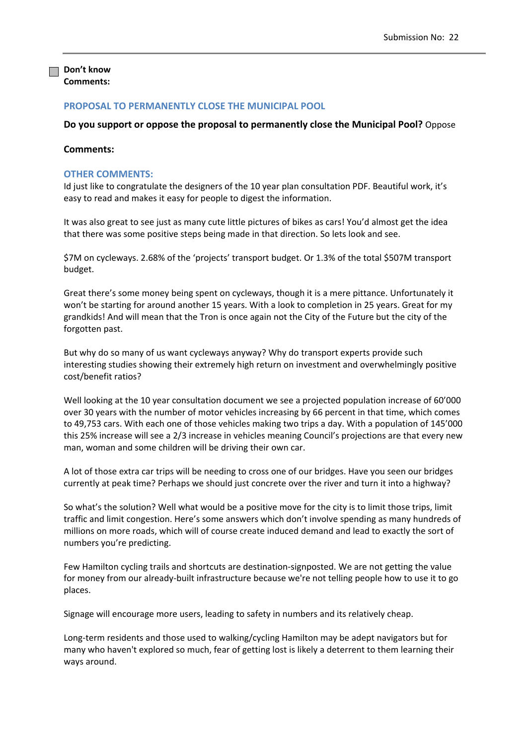#### **Don't know Comments:**

# **PROPOSAL TO PERMANENTLY CLOSE THE MUNICIPAL POOL**

### **Do you support or oppose the proposal to permanently close the Municipal Pool?** Oppose

## **Comments:**

#### **OTHER COMMENTS:**

Id just like to congratulate the designers of the 10 year plan consultation PDF. Beautiful work, it's easy to read and makes it easy for people to digest the information.

It was also great to see just as many cute little pictures of bikes as cars! You'd almost get the idea that there was some positive steps being made in that direction. So lets look and see.

\$7M on cycleways. 2.68% of the 'projects' transport budget. Or 1.3% of the total \$507M transport budget.

Great there's some money being spent on cycleways, though it is a mere pittance. Unfortunately it won't be starting for around another 15 years. With a look to completion in 25 years. Great for my grandkids! And will mean that the Tron is once again not the City of the Future but the city of the forgotten past.

But why do so many of us want cycleways anyway? Why do transport experts provide such interesting studies showing their extremely high return on investment and overwhelmingly positive cost/benefit ratios?

Well looking at the 10 year consultation document we see a projected population increase of 60'000 over 30 years with the number of motor vehicles increasing by 66 percent in that time, which comes to 49,753 cars. With each one of those vehicles making two trips a day. With a population of 145'000 this 25% increase will see a 2/3 increase in vehicles meaning Council's projections are that every new man, woman and some children will be driving their own car.

A lot of those extra car trips will be needing to cross one of our bridges. Have you seen our bridges currently at peak time? Perhaps we should just concrete over the river and turn it into a highway?

So what's the solution? Well what would be a positive move for the city is to limit those trips, limit traffic and limit congestion. Here's some answers which don't involve spending as many hundreds of millions on more roads, which will of course create induced demand and lead to exactly the sort of numbers you're predicting.

Few Hamilton cycling trails and shortcuts are destination‐signposted. We are not getting the value for money from our already-built infrastructure because we're not telling people how to use it to go places.

Signage will encourage more users, leading to safety in numbers and its relatively cheap.

Long-term residents and those used to walking/cycling Hamilton may be adept navigators but for many who haven't explored so much, fear of getting lost is likely a deterrent to them learning their ways around.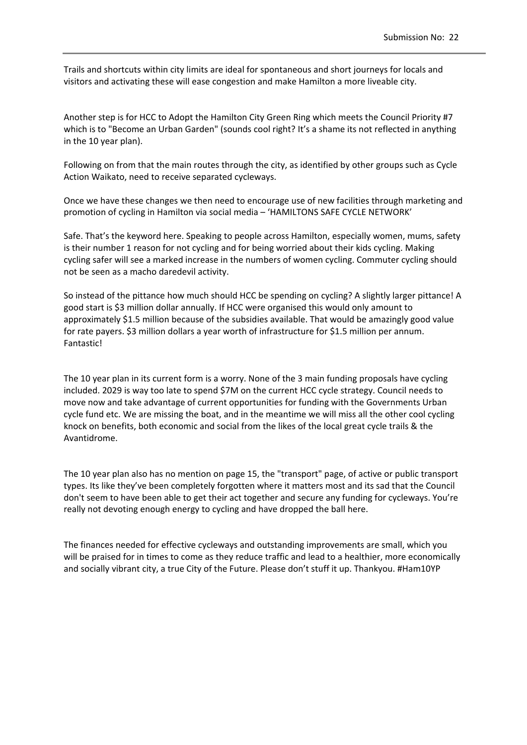Trails and shortcuts within city limits are ideal for spontaneous and short journeys for locals and visitors and activating these will ease congestion and make Hamilton a more liveable city.

Another step is for HCC to Adopt the Hamilton City Green Ring which meets the Council Priority #7 which is to "Become an Urban Garden" (sounds cool right? It's a shame its not reflected in anything in the 10 year plan).

Following on from that the main routes through the city, as identified by other groups such as Cycle Action Waikato, need to receive separated cycleways.

Once we have these changes we then need to encourage use of new facilities through marketing and promotion of cycling in Hamilton via social media – 'HAMILTONS SAFE CYCLE NETWORK'

Safe. That's the keyword here. Speaking to people across Hamilton, especially women, mums, safety is their number 1 reason for not cycling and for being worried about their kids cycling. Making cycling safer will see a marked increase in the numbers of women cycling. Commuter cycling should not be seen as a macho daredevil activity.

So instead of the pittance how much should HCC be spending on cycling? A slightly larger pittance! A good start is \$3 million dollar annually. If HCC were organised this would only amount to approximately \$1.5 million because of the subsidies available. That would be amazingly good value for rate payers. \$3 million dollars a year worth of infrastructure for \$1.5 million per annum. Fantastic!

The 10 year plan in its current form is a worry. None of the 3 main funding proposals have cycling included. 2029 is way too late to spend \$7M on the current HCC cycle strategy. Council needs to move now and take advantage of current opportunities for funding with the Governments Urban cycle fund etc. We are missing the boat, and in the meantime we will miss all the other cool cycling knock on benefits, both economic and social from the likes of the local great cycle trails & the Avantidrome.

The 10 year plan also has no mention on page 15, the "transport" page, of active or public transport types. Its like they've been completely forgotten where it matters most and its sad that the Council don't seem to have been able to get their act together and secure any funding for cycleways. You're really not devoting enough energy to cycling and have dropped the ball here.

The finances needed for effective cycleways and outstanding improvements are small, which you will be praised for in times to come as they reduce traffic and lead to a healthier, more economically and socially vibrant city, a true City of the Future. Please don't stuff it up. Thankyou. #Ham10YP